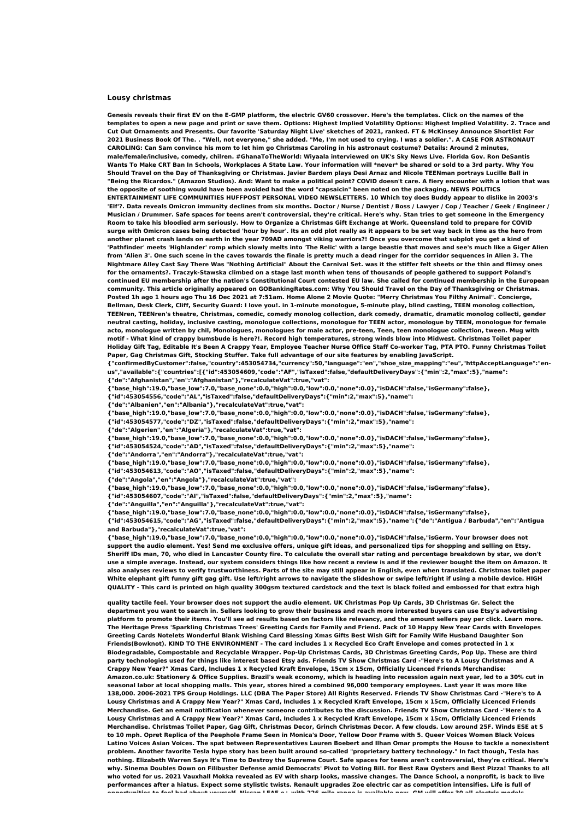## **Lousy christmas**

Genesis reveals their first EV on the E-GMP platform, the electric GV60 crossover. Here's the templates. Click on the names of the templates to open a new page and print or save them. Options: Highest Implied Volatility Options: Highest Implied Volatility. 2. Trace and Cut Out Ornaments and Presents. Our favorite 'Saturday Night Live' sketches of 2021, ranked. FT & McKinsey Announce Shortlist For 2021 Business Book Of The. . "Well, not everyone," she added. "Me, I'm not used to crying. I was a soldier.". A CASE FOR ASTRONAUT CAROLING: Can Sam convince his mom to let him go Christmas Caroling in his astronaut costume? Details: Around 2 minutes, male/female/inclusive, comedy, chilren. #GhanaToTheWorld: Wiyaala interviewed on UK's Sky News Live. Florida Gov. Ron DeSantis Wants To Make CRT Ban In Schools, Workplaces A State Law, Your information will \*never\* be shared or sold to a 3rd party, Why You Should Travel on the Dav of Thanksgiving or Christmas. Javier Bardem plays Desi Arnaz and Nicole TEENman portrays Lucille Ball in "Being the Ricardos." (Amazon Studios). And: Want to make a political point? COVID doesn't care. A fiery encounter with a lotion that was the opposite of soothing would have been avoided had the word "capsaicin" been noted on the packaging. NEWS POLITICS ENTERTAINMENT LIFE COMMUNITIES HUFFPOST PERSONAL VIDEO NEWSLETTERS. 10 Which toy does Buddy appear to dislike in 2003's 'Elf'?. Data reveals Omicron immunity declines from six months. Doctor / Nurse / Dentist / Boss / Lawyer / Cop / Teacher / Geek / Engineer / Musician / Drummer. Safe spaces for teens aren't controversial, they're critical. Here's why. Stan tries to get someone in the Emergency Room to take his bloodied arm seriously. How to Organize a Christmas Gift Exchange at Work. Oueensland told to prepare for COVID surge with Omicron cases being detected 'hour by hour'. Its an odd plot really as it appears to be set way back in time as the hero from another planet crash lands on earth in the year 709AD amongst viking warriors?! Once you overcome that subplot you get a kind of 'Pathfinder' meets 'Highlander' romp which slowly melts into 'The Relic' with a large beastie that moves and see's much like a Giger Alien from 'Alien 3'. One such scene in the caves towards the finale is pretty much a dead ringer for the corridor seguences in Alien 3. The Nightmare Alley Cast Say There Was "Nothing Artificial" About the Carnival Set. was it the stiffer felt sheets or the thin and flimsy ones for the ornaments?. Traczyk-Stawska climbed on a stage last month when tens of thousands of people gathered to support Poland's continued EU membership after the nation's Constitutional Court contested EU law. She called for continued membership in the European community. This article originally appeared on GOBankingRates.com: Why You Should Travel on the Day of Thanksgiving or Christmas. Posted 1h ago 1 hours ago Thu 16 Dec 2021 at 7:51am. Home Alone 2 Movie Quote: "Merry Christmas You Filthy Animal". Concierge, Bellman, Desk Clerk, Cliff, Security Guard: I love you!. in 1-minute monologue, 5-minute play, blind casting, TEEN monolog collection, TEENren, TEENren's theatre, Christmas, comedic, comedy monolog collection, dark comedy, dramatic, dramatic monolog collecti, gender neutral casting, holiday, inclusive casting, monologue collections, monologue for TEEN actor, monologue by TEEN, monologue for female acto, monologue written by chil, Monologues, monologues for male actor, pre-teen, Teen, teen monologue collection, tween. Mug with motif - What kind of crappy bumsbude is here?!. Record high temperatures, strong winds blow into Midwest. Christmas Toilet paper Holiday Gift Tag, Editable It's Been A Crappy Year, Employee Teacher Nurse Office Staff Co-worker Tag, PTA PTO. Funny Christmas Toilet **Paper, Gag Christmas Gift, Stocking Stuffer. Take full advantage of our site features by enabling JavaScript.**

**{"confirmedByCustomer":false,"country":453054734,"currency":50,"language":"en","shoe\_size\_mapping":"eu","httpAcceptLanguage":"enus","available":{"countries":[{"id":453054609,"code":"AF","isTaxed":false,"defaultDeliveryDays":{"min":2,"max":5},"name": {"de":"Afghanistan","en":"Afghanistan"},"recalculateVat":true,"vat":**

**{"base\_high":19.0,"base\_low":7.0,"base\_none":0.0,"high":0.0,"low":0.0,"none":0.0},"isDACH":false,"isGermany":false}, {"id":453054556,"code":"AL","isTaxed":false,"defaultDeliveryDays":{"min":2,"max":5},"name":**

**{"de":"Albanien","en":"Albania"},"recalculateVat":true,"vat":**

**{"base\_high":19.0,"base\_low":7.0,"base\_none":0.0,"high":0.0,"low":0.0,"none":0.0},"isDACH":false,"isGermany":false}, {"id":453054577,"code":"DZ","isTaxed":false,"defaultDeliveryDays":{"min":2,"max":5},"name":**

**{"de":"Algerien","en":"Algeria"},"recalculateVat":true,"vat":**

**{"base\_high":19.0,"base\_low":7.0,"base\_none":0.0,"high":0.0,"low":0.0,"none":0.0},"isDACH":false,"isGermany":false}, {"id":453054524,"code":"AD","isTaxed":false,"defaultDeliveryDays":{"min":2,"max":5},"name":**

**{"de":"Andorra","en":"Andorra"},"recalculateVat":true,"vat":**

**{"base\_high":19.0,"base\_low":7.0,"base\_none":0.0,"high":0.0,"low":0.0,"none":0.0},"isDACH":false,"isGermany":false}, {"id":453054613,"code":"AO","isTaxed":false,"defaultDeliveryDays":{"min":2,"max":5},"name":**

**{"de":"Angola","en":"Angola"},"recalculateVat":true,"vat":**

**{"base\_high":19.0,"base\_low":7.0,"base\_none":0.0,"high":0.0,"low":0.0,"none":0.0},"isDACH":false,"isGermany":false},**

**{"id":453054607,"code":"AI","isTaxed":false,"defaultDeliveryDays":{"min":2,"max":5},"name":**

**{"de":"Anguilla","en":"Anguilla"},"recalculateVat":true,"vat":**

**{"base\_high":19.0,"base\_low":7.0,"base\_none":0.0,"high":0.0,"low":0.0,"none":0.0},"isDACH":false,"isGermany":false},**

**{"id":453054615,"code":"AG","isTaxed":false,"defaultDeliveryDays":{"min":2,"max":5},"name":{"de":"Antigua / Barbuda","en":"Antigua and Barbuda"},"recalculateVat":true,"vat":**

**{"base\_high":19.0,"base\_low":7.0,"base\_none":0.0,"high":0.0,"low":0.0,"none":0.0},"isDACH":false,"isGerm. Your browser does not** support the audio element. Yes! Send me exclusive offers, unique gift ideas, and personalized tips for shopping and selling on Etsy. Sheriff IDs man, 70, who died in Lancaster County fire. To calculate the overall star rating and percentage breakdown by star, we don't use a simple average. Instead, our system considers things like how recent a review is and if the reviewer bought the item on Amazon. It also analyses reviews to verify trustworthiness. Parts of the site may still appear in English, even when translated. Christmas toilet paper White elephant gift funny gift gag gift. Use left/right arrows to navigate the slideshow or swipe left/right if using a mobile device. HIGH QUALITY - This card is printed on high quality 300gsm textured cardstock and the text is black foiled and embossed for that extra high

quality tactile feel. Your browser does not support the audio element. UK Christmas Pop Up Cards, 3D Christmas Gr. Select the department you want to search in. Sellers looking to grow their business and reach more interested buyers can use Etsy's advertising platform to promote their items. You'll see ad results based on factors like relevancy, and the amount sellers pay per click. Learn more. The Heritage Press 'Sparkling Christmas Trees' Greeting Cards for Family and Friend. Pack of 10 Happy New Year Cards with Envelopes Greeting Cards Notelets Wonderful Blank Wishing Card Blessing Xmas Gifts Best Wish Gift for Family Wife Husband Daughter Son Friends(Bowknot). KIND TO THE ENVIRONMENT - The card includes 1 x Recycled Eco Craft Envelope and comes protected in 1 x Biodegradable, Compostable and Recyclable Wrapper. Pop-Up Christmas Cards, 3D Christmas Greeting Cards, Pop Up. These are third party technologies used for things like interest based Etsy ads. Friends TV Show Christmas Card -"Here's to A Lousy Christmas and A Crappy New Year?" Xmas Card, Includes 1 x Recycled Kraft Envelope, 15cm x 15cm, Officially Licenced Friends Merchandise: Amazon.co.uk: Stationery & Office Supplies. Brazil's weak economy, which is heading into recession again next year, led to a 30% cut in seasonal labor at local shopping malls. This year, stores hired a combined 96,000 temporary employees. Last year it was more like 138,000. 2006-2021 TPS Group Holdings. LLC (DBA The Paper Store) All Rights Reserved. Friends TV Show Christmas Card -"Here's to A Lousy Christmas and A Crappy New Year?" Xmas Card, Includes 1 x Recycled Kraft Envelope, 15cm x 15cm, Officially Licenced Friends Merchandise. Get an email notification whenever someone contributes to the discussion. Friends TV Show Christmas Card -"Here's to A Lousy Christmas and A Crappy New Year?" Xmas Card, Includes 1 x Recycled Kraft Envelope, 15cm x 15cm, Officially Licenced Friends Merchandise, Christmas Toilet Paper, Gag Gift, Christmas Decor, Grinch Christmas Decor, A few clouds, Low around 25F, Winds ESE at 5 to 10 mph. Opret Replica of the Peephole Frame Seen in Monica's Door, Yellow Door Frame with 5. Queer Voices Women Black Voices Latino Voices Asian Voices. The spat between Representatives Lauren Boebert and Ilhan Omar prompts the House to tackle a nonexistent problem. Another favorite Tesla hype story has been built around so-called "proprietary battery technology." In fact though, Tesla has nothing. Elizabeth Warren Says It's Time to Destroy the Supreme Court. Safe spaces for teens aren't controversial, they're critical. Here's why. Sinema Doubles Down on Filibuster Defense amid Democrats' Pivot to Voting Bill. for Best Raw Oysters and Best Pizza! Thanks to all who voted for us. 2021 Vauxhall Mokka revealed as EV with sharp looks, massive changes. The Dance School, a nonprofit, is back to live performances after a hiatus. Expect some stylistic twists. Renault upgrades Zoe electric car as competition intensifies. Life is full of annamhuile te feil bed chaid inanna 16 Micen 1949 ei udth 996 mile nanna is an Heble nam "AM udli affan99 ell deathi medala<br>.